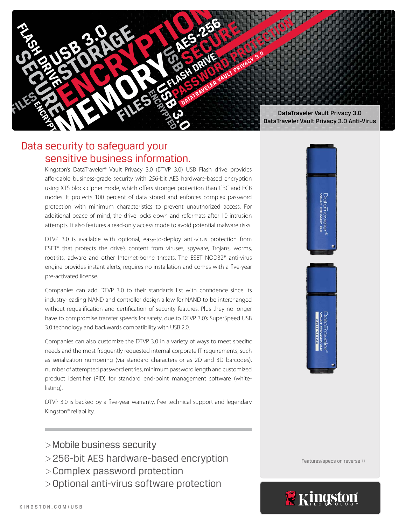

# Data security to safeguard your sensitive business information.

Kingston's DataTraveler® Vault Privacy 3.0 (DTVP 3.0) USB Flash drive provides affordable business-grade security with 256-bit AES hardware-based encryption using XTS block cipher mode, which offers stronger protection than CBC and ECB modes. It protects 100 percent of data stored and enforces complex password protection with minimum characteristics to prevent unauthorized access. For additional peace of mind, the drive locks down and reformats after 10 intrusion attempts. It also features a read-only access mode to avoid potential malware risks.

DTVP 3.0 is available with optional, easy-to-deploy anti-virus protection from ESET\* that protects the drive's content from viruses, spyware, Trojans, worms, rootkits, adware and other Internet-borne threats. The ESET NOD32® anti-virus engine provides instant alerts, requires no installation and comes with a five-year pre-activated license.

Companies can add DTVP 3.0 to their standards list with confidence since its industry-leading NAND and controller design allow for NAND to be interchanged without requalification and certification of security features. Plus they no longer have to compromise transfer speeds for safety, due to DTVP 3.0's SuperSpeed USB 3.0 technology and backwards compatibility with USB 2.0.

Companies can also customize the DTVP 3.0 in a variety of ways to meet specific needs and the most frequently requested internal corporate IT requirements, such as serialization numbering (via standard characters or as 2D and 3D barcodes), number of attempted password entries, minimum password length and customized product identifier (PID) for standard end-point management software (whitelisting).

DTVP 3.0 is backed by a five-year warranty, free technical support and legendary Kingston® reliability.

- >Mobile business security
- >256-bit AES hardware-based encryption
- >Complex password protection
- >Optional anti-virus software protection



Features/specs on reverse >>